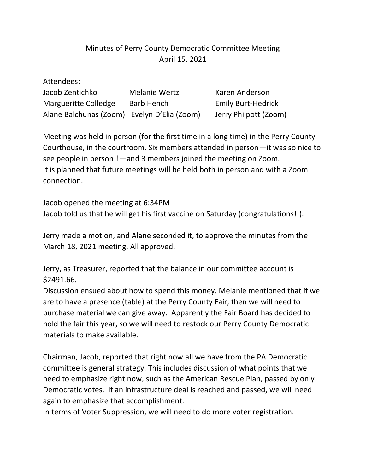## Minutes of Perry County Democratic Committee Meeting April 15, 2021

| Attendees:                                  |                      |                           |
|---------------------------------------------|----------------------|---------------------------|
| Jacob Zentichko                             | <b>Melanie Wertz</b> | Karen Anderson            |
| Margueritte Colledge                        | <b>Barb Hench</b>    | <b>Emily Burt-Hedrick</b> |
| Alane Balchunas (Zoom) Evelyn D'Elia (Zoom) |                      | Jerry Philpott (Zoom)     |

Meeting was held in person (for the first time in a long time) in the Perry County Courthouse, in the courtroom. Six members attended in person—it was so nice to see people in person!!—and 3 members joined the meeting on Zoom. It is planned that future meetings will be held both in person and with a Zoom connection.

Jacob opened the meeting at 6:34PM Jacob told us that he will get his first vaccine on Saturday (congratulations!!).

Jerry made a motion, and Alane seconded it, to approve the minutes from the March 18, 2021 meeting. All approved.

Jerry, as Treasurer, reported that the balance in our committee account is \$2491.66.

Discussion ensued about how to spend this money. Melanie mentioned that if we are to have a presence (table) at the Perry County Fair, then we will need to purchase material we can give away. Apparently the Fair Board has decided to hold the fair this year, so we will need to restock our Perry County Democratic materials to make available.

Chairman, Jacob, reported that right now all we have from the PA Democratic committee is general strategy. This includes discussion of what points that we need to emphasize right now, such as the American Rescue Plan, passed by only Democratic votes. If an infrastructure deal is reached and passed, we will need again to emphasize that accomplishment.

In terms of Voter Suppression, we will need to do more voter registration.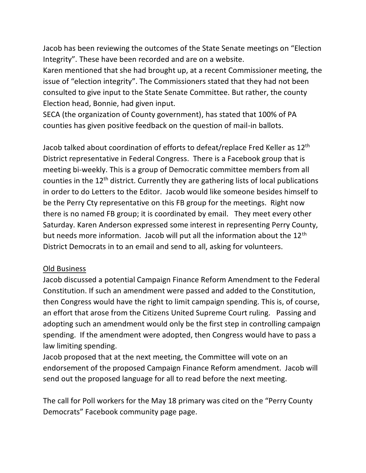Jacob has been reviewing the outcomes of the State Senate meetings on "Election Integrity". These have been recorded and are on a website.

Karen mentioned that she had brought up, at a recent Commissioner meeting, the issue of "election integrity". The Commissioners stated that they had not been consulted to give input to the State Senate Committee. But rather, the county Election head, Bonnie, had given input.

SECA (the organization of County government), has stated that 100% of PA counties has given positive feedback on the question of mail-in ballots.

Jacob talked about coordination of efforts to defeat/replace Fred Keller as 12th District representative in Federal Congress. There is a Facebook group that is meeting bi-weekly. This is a group of Democratic committee members from all counties in the 12th district. Currently they are gathering lists of local publications in order to do Letters to the Editor. Jacob would like someone besides himself to be the Perry Cty representative on this FB group for the meetings. Right now there is no named FB group; it is coordinated by email. They meet every other Saturday. Karen Anderson expressed some interest in representing Perry County, but needs more information. Jacob will put all the information about the 12<sup>th</sup> District Democrats in to an email and send to all, asking for volunteers.

## Old Business

Jacob discussed a potential Campaign Finance Reform Amendment to the Federal Constitution. If such an amendment were passed and added to the Constitution, then Congress would have the right to limit campaign spending. This is, of course, an effort that arose from the Citizens United Supreme Court ruling. Passing and adopting such an amendment would only be the first step in controlling campaign spending. If the amendment were adopted, then Congress would have to pass a law limiting spending.

Jacob proposed that at the next meeting, the Committee will vote on an endorsement of the proposed Campaign Finance Reform amendment. Jacob will send out the proposed language for all to read before the next meeting.

The call for Poll workers for the May 18 primary was cited on the "Perry County Democrats" Facebook community page page.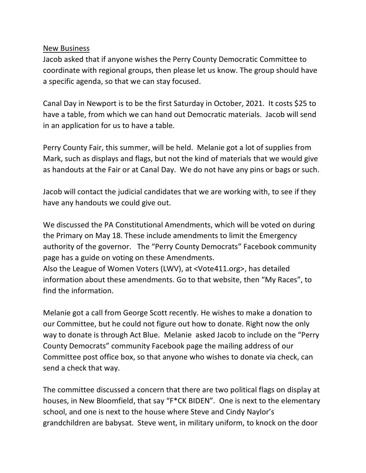New Business

Jacob asked that if anyone wishes the Perry County Democratic Committee to coordinate with regional groups, then please let us know. The group should have a specific agenda, so that we can stay focused.

Canal Day in Newport is to be the first Saturday in October, 2021. It costs \$25 to have a table, from which we can hand out Democratic materials. Jacob will send in an application for us to have a table.

Perry County Fair, this summer, will be held. Melanie got a lot of supplies from Mark, such as displays and flags, but not the kind of materials that we would give as handouts at the Fair or at Canal Day. We do not have any pins or bags or such.

Jacob will contact the judicial candidates that we are working with, to see if they have any handouts we could give out.

We discussed the PA Constitutional Amendments, which will be voted on during the Primary on May 18. These include amendments to limit the Emergency authority of the governor. The "Perry County Democrats" Facebook community page has a guide on voting on these Amendments. Also the League of Women Voters (LWV), at <Vote411.org>, has detailed information about these amendments. Go to that website, then "My Races", to find the information.

Melanie got a call from George Scott recently. He wishes to make a donation to our Committee, but he could not figure out how to donate. Right now the only way to donate is through Act Blue. Melanie asked Jacob to include on the "Perry County Democrats" community Facebook page the mailing address of our Committee post office box, so that anyone who wishes to donate via check, can send a check that way.

The committee discussed a concern that there are two political flags on display at houses, in New Bloomfield, that say "F\*CK BIDEN". One is next to the elementary school, and one is next to the house where Steve and Cindy Naylor's grandchildren are babysat. Steve went, in military uniform, to knock on the door